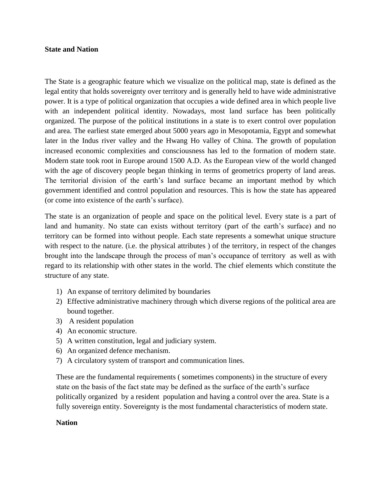## **State and Nation**

The State is a geographic feature which we visualize on the political map, state is defined as the legal entity that holds sovereignty over territory and is generally held to have wide administrative power. It is a type of political organization that occupies a wide defined area in which people live with an independent political identity. Nowadays, most land surface has been politically organized. The purpose of the political institutions in a state is to exert control over population and area. The earliest state emerged about 5000 years ago in Mesopotamia, Egypt and somewhat later in the Indus river valley and the Hwang Ho valley of China. The growth of population increased economic complexities and consciousness has led to the formation of modern state. Modern state took root in Europe around 1500 A.D. As the European view of the world changed with the age of discovery people began thinking in terms of geometrics property of land areas. The territorial division of the earth's land surface became an important method by which government identified and control population and resources. This is how the state has appeared (or come into existence of the earth's surface).

The state is an organization of people and space on the political level. Every state is a part of land and humanity. No state can exists without territory (part of the earth's surface) and no territory can be formed into without people. Each state represents a somewhat unique structure with respect to the nature. (i.e. the physical attributes) of the territory, in respect of the changes brought into the landscape through the process of man's occupance of territory as well as with regard to its relationship with other states in the world. The chief elements which constitute the structure of any state.

- 1) An expanse of territory delimited by boundaries
- 2) Effective administrative machinery through which diverse regions of the political area are bound together.
- 3) A resident population
- 4) An economic structure.
- 5) A written constitution, legal and judiciary system.
- 6) An organized defence mechanism.
- 7) A circulatory system of transport and communication lines.

These are the fundamental requirements ( sometimes components) in the structure of every state on the basis of the fact state may be defined as the surface of the earth's surface politically organized by a resident population and having a control over the area. State is a fully sovereign entity. Sovereignty is the most fundamental characteristics of modern state.

## **Nation**